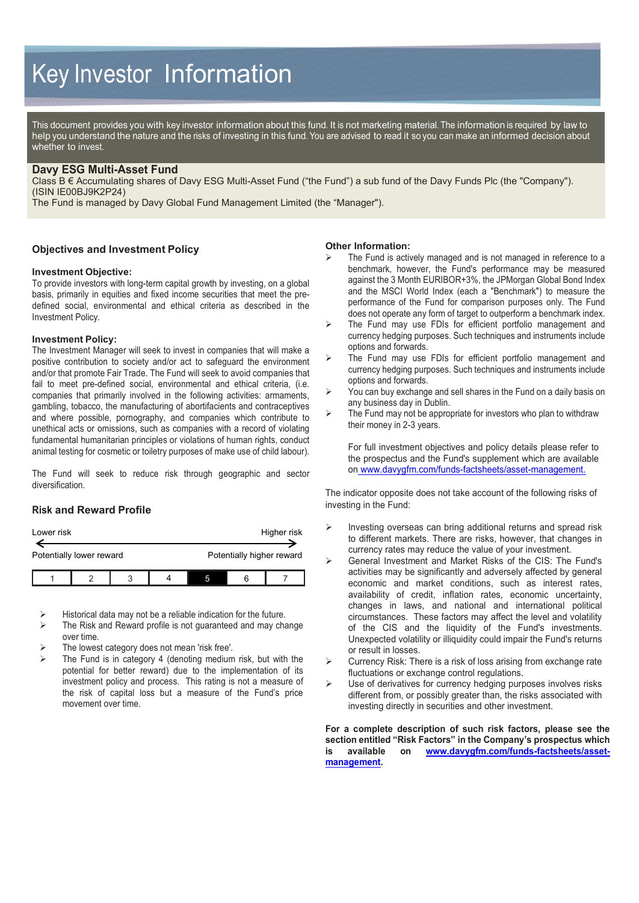# Key Investor Information

This document provides you with key investor information about this fund. It is not marketing material. The information is required by law to help you understand the nature and the risks of investing in this fund. You are advised to read it so you can make an informed decision about whether to invest.

# **Davy ESG Multi-Asset Fund**

Class B € Accumulating shares of Davy ESG Multi-Asset Fund ("the Fund") a sub fund of the Davy Funds Plc (the "Company"). (ISIN IE00BJ9K2P24)

The Fund is managed by Davy Global Fund Management Limited (the "Manager").

#### **Objectives and Investment Policy**

#### **Investment Objective:**

To provide investors with long-term capital growth by investing, on a global basis, primarily in equities and fixed income securities that meet the predefined social, environmental and ethical criteria as described in the Investment Policy.

#### **Investment Policy:**

The Investment Manager will seek to invest in companies that will make a positive contribution to society and/or act to safeguard the environment and/or that promote Fair Trade. The Fund will seek to avoid companies that fail to meet pre-defined social, environmental and ethical criteria, (i.e. companies that primarily involved in the following activities: armaments, gambling, tobacco, the manufacturing of abortifacients and contraceptives and where possible, pornography, and companies which contribute to unethical acts or omissions, such as companies with a record of violating fundamental humanitarian principles or violations of human rights, conduct animal testing for cosmetic or toiletry purposes of make use of child labour).

The Fund will seek to reduce risk through geographic and sector diversification.

## **Risk and Reward Profile**

| Lower risk               |  |  |  |                           | Higher risk |
|--------------------------|--|--|--|---------------------------|-------------|
| Potentially lower reward |  |  |  | Potentially higher reward |             |
|                          |  |  |  |                           |             |

Historical data may not be a reliable indication for the future.

- $\triangleright$  The Risk and Reward profile is not guaranteed and may change over time.
- The lowest category does not mean 'risk free'.
- The Fund is in category 4 (denoting medium risk, but with the potential for better reward) due to the implementation of its investment policy and process. This rating is not a measure of the risk of capital loss but a measure of the Fund's price movement over time.

#### **Other Information:**

- The Fund is actively managed and is not managed in reference to a benchmark, however, the Fund's performance may be measured against the 3 Month EURIBOR+3%, the JPMorgan Global Bond Index and the MSCI World Index (each a "Benchmark") to measure the performance of the Fund for comparison purposes only. The Fund does not operate any form of target to outperform a benchmark index.
- $\triangleright$  The Fund may use FDIs for efficient portfolio management and currency hedging purposes. Such techniques and instruments include options and forwards.
- $\triangleright$  The Fund may use FDIs for efficient portfolio management and currency hedging purposes. Such techniques and instruments include options and forwards.
- You can buy exchange and sell shares in the Fund on a daily basis on any business day in Dublin.
- The Fund may not be appropriate for investors who plan to withdraw their money in 2-3 years.

For full investment objectives and policy details please refer to the prospectus and the Fund's supplement which are available on www.davygfm.com/funds-factsheets/asset-management.

The indicator opposite does not take account of the following risks of investing in the Fund:

- $\triangleright$  Investing overseas can bring additional returns and spread risk to different markets. There are risks, however, that changes in currency rates may reduce the value of your investment.
- General Investment and Market Risks of the CIS: The Fund's activities may be significantly and adversely affected by general economic and market conditions, such as interest rates, availability of credit, inflation rates, economic uncertainty, changes in laws, and national and international political circumstances. These factors may affect the level and volatility of the CIS and the liquidity of the Fund's investments. Unexpected volatility or illiquidity could impair the Fund's returns or result in losses.
- Currency Risk: There is a risk of loss arising from exchange rate fluctuations or exchange control regulations.
- $\triangleright$  Use of derivatives for currency hedging purposes involves risks different from, or possibly greater than, the risks associated with investing directly in securities and other investment.

**For a complete description of such risk factors, please see the section entitled "Risk Factors" in the Company's prospectus which <br>is available on www.dayyofm.com/funds-factsheets/assetis available on [www.davygfm.com/funds-factsheets/asset](http://www.davygfm.com/funds-factsheets/asset-management)[management.](http://www.davygfm.com/funds-factsheets/asset-management)**